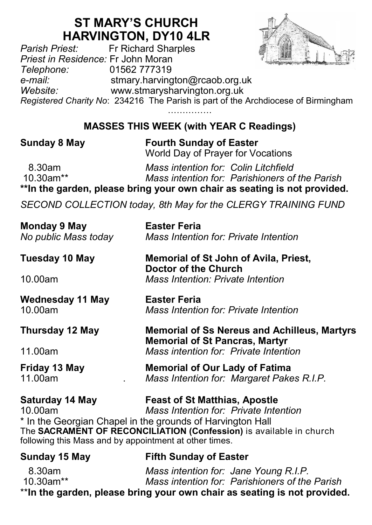## **ST MARY'S CHURCH**

**HARVINGTON, DY10 4LR**<br>Fr Richard Sharples *Pr Richard Sharples Priest in Residence:* Fr John Moran *Telephone:* 01562 777319 *e-mail:* stmary.harvington@rcaob.org.uk *Website:* www.stmarysharvington.org.uk *Registered Charity No*: 234216 The Parish is part of the Archdiocese of Birmingham

> …………… **MASSES THIS WEEK (with YEAR C Readings)**

**Sunday 8 May Fourth Sunday of Easter** World Day of Prayer for Vocations

 8.30am *Mass intention for: Colin Litchfield*  **Mass intention for: Parishioners of the Parish \*\*In the garden, please bring your own chair as seating is not provided.**

*SECOND COLLECTION today, 8th May for the CLERGY TRAINING FUND*

| Monday 9 May<br>No public Mass today                                                 | <b>Easter Feria</b><br><b>Mass Intention for: Private Intention</b>                                                                                                                                                |  |  |  |  |
|--------------------------------------------------------------------------------------|--------------------------------------------------------------------------------------------------------------------------------------------------------------------------------------------------------------------|--|--|--|--|
| Tuesday 10 May                                                                       | <b>Memorial of St John of Avila, Priest,</b><br>Doctor of the Church                                                                                                                                               |  |  |  |  |
| 10.00am                                                                              | <b>Mass Intention: Private Intention</b>                                                                                                                                                                           |  |  |  |  |
| Wednesday 11 May<br>10.00am                                                          | Easter Feria<br>Mass Intention for: Private Intention                                                                                                                                                              |  |  |  |  |
| Thursday 12 May                                                                      | <b>Memorial of Ss Nereus and Achilleus, Martyrs</b><br><b>Memorial of St Pancras, Martyr</b>                                                                                                                       |  |  |  |  |
| 11.00am                                                                              | Mass intention for: Private Intention                                                                                                                                                                              |  |  |  |  |
| Friday 13 May<br>11.00am                                                             | <b>Memorial of Our Lady of Fatima</b><br>Mass Intention for: Margaret Pakes R.I.P.                                                                                                                                 |  |  |  |  |
| Saturday 14 May<br>10.00am<br>following this Mass and by appointment at other times. | <b>Feast of St Matthias, Apostle</b><br>Mass Intention for: Private Intention<br>* In the Georgian Chapel in the grounds of Harvington Hall<br>The SACRAMENT OF RECONCILIATION (Confession) is available in church |  |  |  |  |
| Sunday 15 May                                                                        | <b>Fifth Sunday of Easter</b>                                                                                                                                                                                      |  |  |  |  |
|                                                                                      | .                                                                                                                                                                                                                  |  |  |  |  |

 8.30am *Mass intention for: Jane Young R.I.P.* 10.30am\*\* *Mass intention for: Parishioners of the Parish* \*\***In the garden, please bring your own chair as seating is not provided.**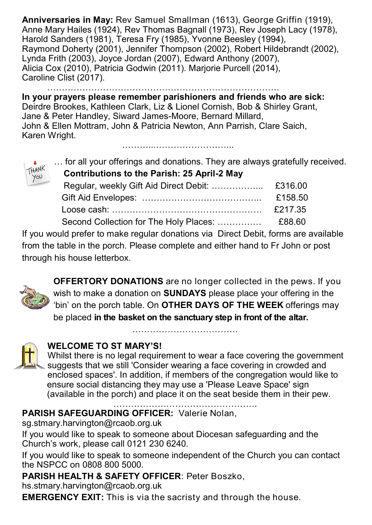**Anniversaries in May:** Rev Samuel Smallman (1613), George Griffin (1919), Anne Mary Hailes (1924), Rev Thomas Bagnall (1973), Rev Joseph Lacy (1978), Harold Sanders (1981), Teresa Fry (1985), Yvonne Beesley (1994), Raymond Doherty (2001), Jennifer Thompson (2002), Robert Hildebrandt (2002), Lynda Frith (2003), Joyce Jordan (2007), Edward Anthony (2007), Alicia Cox (2010), Patricia Godwin (2011). Marjorie Purcell (2014), Caroline Clist (2017).

…………………………………………………………… **In your prayers please remember parishioners and friends who are sick:**  Deirdre Brookes, Kathleen Clark, Liz & Lionel Cornish, Bob & Shirley Grant, Jane & Peter Handley, Siward James-Moore, Bernard Millard, John & Ellen Mottram, John & Patricia Newton, Ann Parrish, Clare Saich, Karen Wright.

………...……………………...

… for all your offerings and donations. They are always gratefully received.

| <b>Contributions to the Parish: 25 April-2 May</b> |  |  |  |
|----------------------------------------------------|--|--|--|
|                                                    |  |  |  |

| $\overline{\phantom{a}}$ |         |
|--------------------------|---------|
|                          | £158.50 |
|                          | £217.35 |
|                          |         |

If you would prefer to make regular donations via Direct Debit, forms are available from the table in the porch. Please complete and either hand to Fr John or post through his house letterbox.



HANK YOU

> **OFFERTORY DONATIONS** are no longer collected in the pews. If you wish to make a donation on **SUNDAYS** please place your offering in the 'bin' on the porch table. On **OTHER DAYS OF THE WEEK** offerings may be placed **in the basket on the sanctuary step in front of the altar.**

## **WELCOME TO ST MARY'S!**

Whilst there is no legal requirement to wear a face covering the government suggests that we still 'Consider wearing a face covering in crowded and enclosed spaces'. In addition, if members of the congregation would like to ensure social distancing they may use a 'Please Leave Space' sign (available in the porch) and place it on the seat beside them in their pew.

……………………………

**PARISH SAFEGUARDING OFFICER:** Valerie Nolan,

sg.stmary.harvington@rcaob.org.uk

If you would like to speak to someone about Diocesan safeguarding and the Church's work, please call 0121 230 6240.

If you would like to speak to someone independent of the Church you can contact the NSPCC on 0808 800 5000.

**PARISH HEALTH & SAFETY OFFICER**: Peter Boszko,

hs.stmary.harvington@rcaob.org.uk

**EMERGENCY EXIT:** This is via the sacristy and through the house.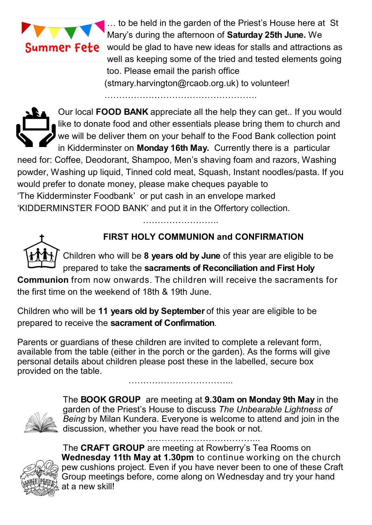

 … to be held in the garden of the Priest's House here at St Mary's during the afternoon of **Saturday 25th June.** We **Summer Fete** would be glad to have new ideas for stalls and attractions as well as keeping some of the tried and tested elements going too. Please email the parish office (stmary.harvington@rcaob.org.uk) to volunteer! …………………………………………….

Our local **FOOD BANK** appreciate all the help they can get.. If you would like to donate food and other essentials please bring them to church and we will be deliver them on your behalf to the Food Bank collection point in Kidderminster on **Monday 16th May.** Currently there is a particular need for: Coffee, Deodorant, Shampoo, Men's shaving foam and razors, Washing powder, Washing up liquid, Tinned cold meat, Squash, Instant noodles/pasta. If you would prefer to donate money, please make cheques payable to 'The Kidderminster Foodbank' or put cash in an envelope marked 'KIDDERMINSTER FOOD BANK' and put it in the Offertory collection.

………………………



## **FIRST HOLY COMMUNION and CONFIRMATION**

Children who will be **8 years old by June** of this year are eligible to be prepared to take the **sacraments of Reconciliation and First Holy** 

**Communion** from now onwards. The children will receive the sacraments for the first time on the weekend of 18th & 19th June.

Children who will be **11 years old by September** of this year are eligible to be prepared to receive the **sacrament of Confirmation**.

Parents or guardians of these children are invited to complete a relevant form, available from the table (either in the porch or the garden). As the forms will give personal details about children please post these in the labelled, secure box provided on the table. ……………………………...



The **BOOK GROUP** are meeting at **9.30am on Monday 9th May** in the garden of the Priest's House to discuss *The Unbearable Lightness of Being* by Milan Kundera. Everyone is welcome to attend and join in the discussion, whether you have read the book or not.

………………………………...



The **CRAFT GROUP** are meeting at Rowberry's Tea Rooms on **Wednesday 11th May at 1.30pm** to continue working on the church pew cushions project. Even if you have never been to one of these Craft Group meetings before, come along on Wednesday and try your hand at a new skill!